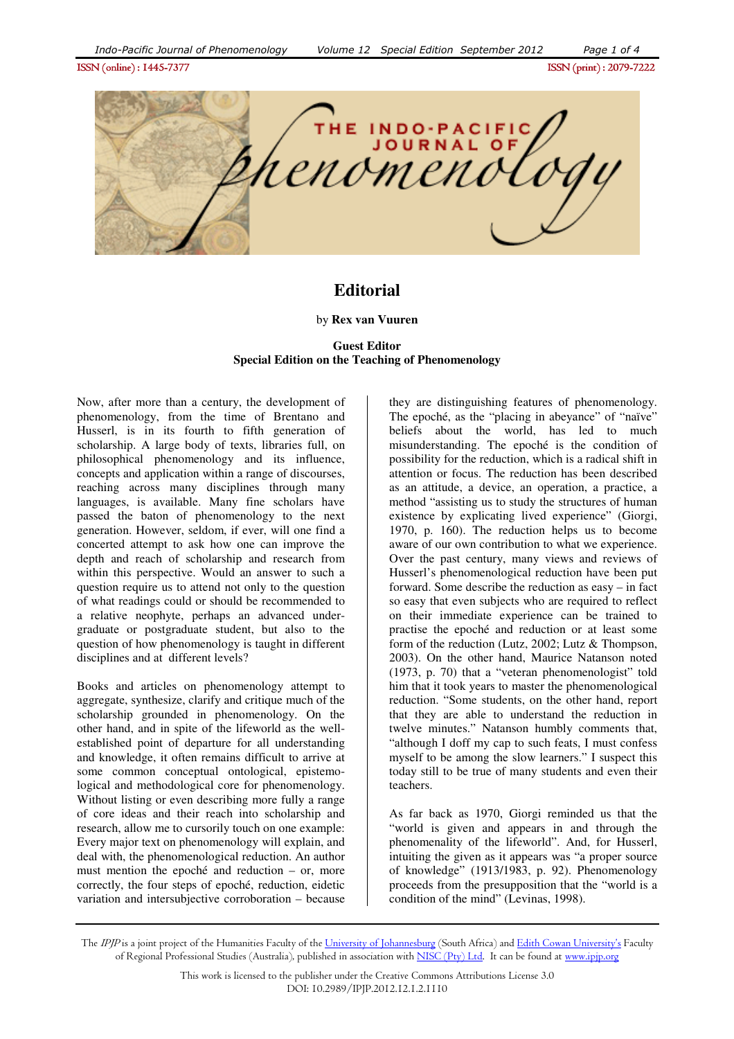ISSN (online) : 1445- ISSN (online) : 1445-7377ISSN (print) : 2079- ISSN (print) 2079-7222



# **Editorial**

## by **Rex van Vuuren**

# **Guest Editor Special Edition on the Teaching of Phenomenology**

Now, after more than a century, the development of phenomenology, from the time of Brentano and Husserl, is in its fourth to fifth generation of scholarship. A large body of texts, libraries full, on philosophical phenomenology and its influence, concepts and application within a range of discourses, reaching across many disciplines through many languages, is available. Many fine scholars have passed the baton of phenomenology to the next generation. However, seldom, if ever, will one find a concerted attempt to ask how one can improve the depth and reach of scholarship and research from within this perspective. Would an answer to such a question require us to attend not only to the question of what readings could or should be recommended to a relative neophyte, perhaps an advanced undergraduate or postgraduate student, but also to the question of how phenomenology is taught in different disciplines and at different levels?

Books and articles on phenomenology attempt to aggregate, synthesize, clarify and critique much of the scholarship grounded in phenomenology. On the other hand, and in spite of the lifeworld as the wellestablished point of departure for all understanding and knowledge, it often remains difficult to arrive at some common conceptual ontological, epistemological and methodological core for phenomenology. Without listing or even describing more fully a range of core ideas and their reach into scholarship and research, allow me to cursorily touch on one example: Every major text on phenomenology will explain, and deal with, the phenomenological reduction. An author must mention the epoché and reduction – or, more correctly, the four steps of epoché, reduction, eidetic variation and intersubjective corroboration – because they are distinguishing features of phenomenology. The epoché, as the "placing in abeyance" of "naïve" beliefs about the world, has led to much misunderstanding. The epoché is the condition of possibility for the reduction, which is a radical shift in attention or focus. The reduction has been described as an attitude, a device, an operation, a practice, a method "assisting us to study the structures of human existence by explicating lived experience" (Giorgi, 1970, p. 160). The reduction helps us to become aware of our own contribution to what we experience. Over the past century, many views and reviews of Husserl's phenomenological reduction have been put forward. Some describe the reduction as easy – in fact so easy that even subjects who are required to reflect on their immediate experience can be trained to practise the epoché and reduction or at least some form of the reduction (Lutz, 2002; Lutz & Thompson, 2003). On the other hand, Maurice Natanson noted (1973, p. 70) that a "veteran phenomenologist" told him that it took years to master the phenomenological reduction. "Some students, on the other hand, report that they are able to understand the reduction in twelve minutes." Natanson humbly comments that, "although I doff my cap to such feats, I must confess myself to be among the slow learners." I suspect this today still to be true of many students and even their teachers.

As far back as 1970, Giorgi reminded us that the "world is given and appears in and through the phenomenality of the lifeworld". And, for Husserl, intuiting the given as it appears was "a proper source of knowledge" (1913/1983, p. 92). Phenomenology proceeds from the presupposition that the "world is a condition of the mind" (Levinas, 1998).

The IPJP is a joint project of the Humanities Faculty of the University of Johannesburg (South Africa) and Edith Cowan University's Faculty of Regional Professional Studies (Australia), published in association with NISC (Pty) Ltd. It can be found at www.ipjp.org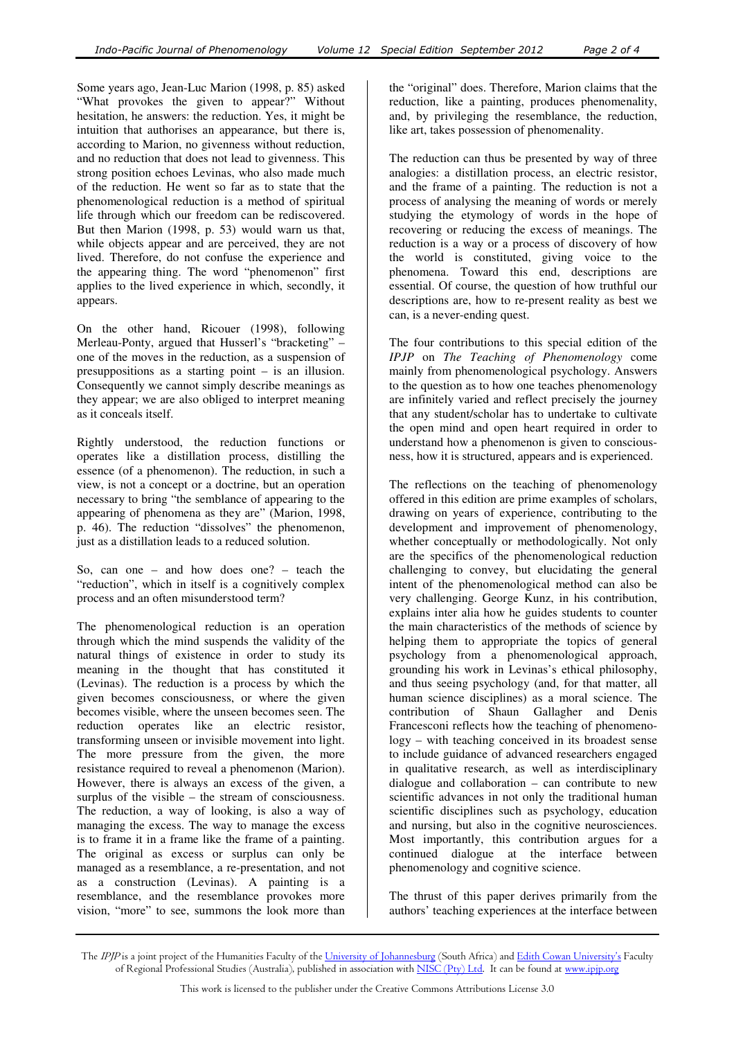Some years ago, Jean-Luc Marion (1998, p. 85) asked "What provokes the given to appear?" Without hesitation, he answers: the reduction. Yes, it might be intuition that authorises an appearance, but there is, according to Marion, no givenness without reduction, and no reduction that does not lead to givenness. This strong position echoes Levinas, who also made much of the reduction. He went so far as to state that the phenomenological reduction is a method of spiritual life through which our freedom can be rediscovered. But then Marion (1998, p. 53) would warn us that, while objects appear and are perceived, they are not lived. Therefore, do not confuse the experience and the appearing thing. The word "phenomenon" first applies to the lived experience in which, secondly, it appears.

On the other hand, Ricouer (1998), following Merleau-Ponty, argued that Husserl's "bracketing" – one of the moves in the reduction, as a suspension of presuppositions as a starting point – is an illusion. Consequently we cannot simply describe meanings as they appear; we are also obliged to interpret meaning as it conceals itself.

Rightly understood, the reduction functions or operates like a distillation process, distilling the essence (of a phenomenon). The reduction, in such a view, is not a concept or a doctrine, but an operation necessary to bring "the semblance of appearing to the appearing of phenomena as they are" (Marion, 1998, p. 46). The reduction "dissolves" the phenomenon, just as a distillation leads to a reduced solution.

So, can one – and how does one? – teach the "reduction", which in itself is a cognitively complex process and an often misunderstood term?

The phenomenological reduction is an operation through which the mind suspends the validity of the natural things of existence in order to study its meaning in the thought that has constituted it (Levinas). The reduction is a process by which the given becomes consciousness, or where the given becomes visible, where the unseen becomes seen. The reduction operates like an electric resistor, transforming unseen or invisible movement into light. The more pressure from the given, the more resistance required to reveal a phenomenon (Marion). However, there is always an excess of the given, a surplus of the visible – the stream of consciousness. The reduction, a way of looking, is also a way of managing the excess. The way to manage the excess is to frame it in a frame like the frame of a painting. The original as excess or surplus can only be managed as a resemblance, a re-presentation, and not as a construction (Levinas). A painting is a resemblance, and the resemblance provokes more vision, "more" to see, summons the look more than

the "original" does. Therefore, Marion claims that the reduction, like a painting, produces phenomenality, and, by privileging the resemblance, the reduction, like art, takes possession of phenomenality.

The reduction can thus be presented by way of three analogies: a distillation process, an electric resistor, and the frame of a painting. The reduction is not a process of analysing the meaning of words or merely studying the etymology of words in the hope of recovering or reducing the excess of meanings. The reduction is a way or a process of discovery of how the world is constituted, giving voice to the phenomena. Toward this end, descriptions are essential. Of course, the question of how truthful our descriptions are, how to re-present reality as best we can, is a never-ending quest.

The four contributions to this special edition of the *IPJP* on *The Teaching of Phenomenology* come mainly from phenomenological psychology. Answers to the question as to how one teaches phenomenology are infinitely varied and reflect precisely the journey that any student/scholar has to undertake to cultivate the open mind and open heart required in order to understand how a phenomenon is given to consciousness, how it is structured, appears and is experienced.

The reflections on the teaching of phenomenology offered in this edition are prime examples of scholars, drawing on years of experience, contributing to the development and improvement of phenomenology, whether conceptually or methodologically. Not only are the specifics of the phenomenological reduction challenging to convey, but elucidating the general intent of the phenomenological method can also be very challenging. George Kunz, in his contribution, explains inter alia how he guides students to counter the main characteristics of the methods of science by helping them to appropriate the topics of general psychology from a phenomenological approach, grounding his work in Levinas's ethical philosophy, and thus seeing psychology (and, for that matter, all human science disciplines) as a moral science. The contribution of Shaun Gallagher and Denis Francesconi reflects how the teaching of phenomenology – with teaching conceived in its broadest sense to include guidance of advanced researchers engaged in qualitative research, as well as interdisciplinary dialogue and collaboration – can contribute to new scientific advances in not only the traditional human scientific disciplines such as psychology, education and nursing, but also in the cognitive neurosciences. Most importantly, this contribution argues for a continued dialogue at the interface between phenomenology and cognitive science.

The thrust of this paper derives primarily from the authors' teaching experiences at the interface between

The *IPJP* is a joint project of the Humanities Faculty of the <u>University of Johannesburg</u> (South Africa) and <u>Edith Cowan University's</u> Faculty of Regional Professional Studies (Australia), published in association with <u>NISC (Pty) Ltd</u>. It can be found at <u>www.ipjp.org</u>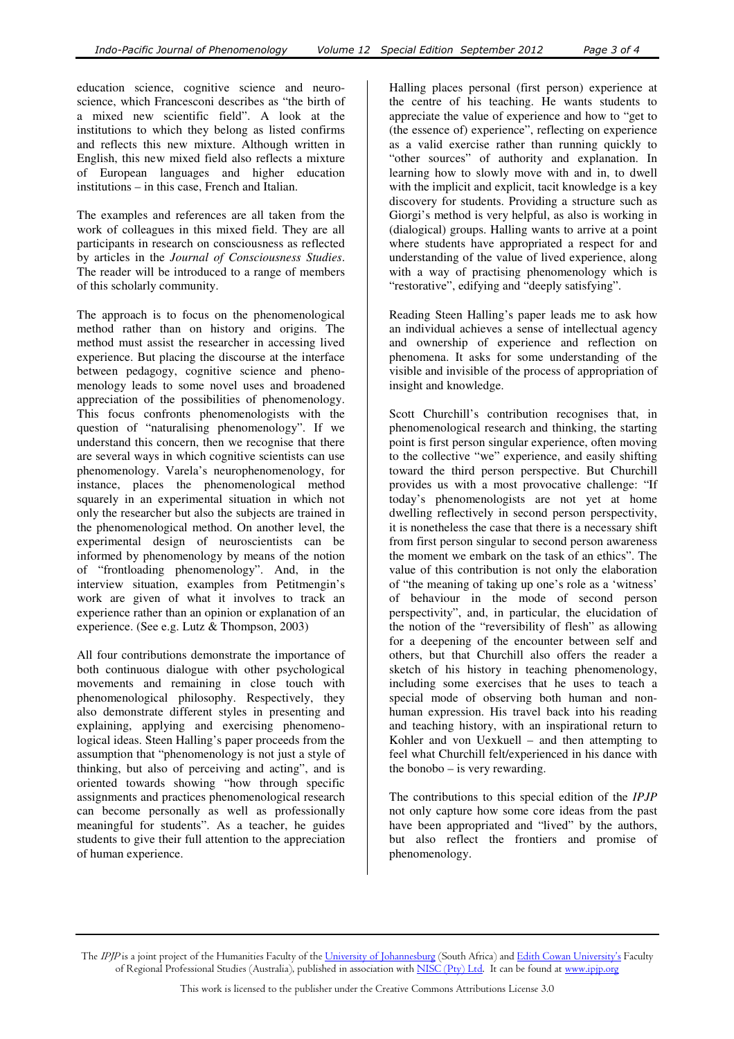education science, cognitive science and neuroscience, which Francesconi describes as "the birth of a mixed new scientific field". A look at the institutions to which they belong as listed confirms and reflects this new mixture. Although written in English, this new mixed field also reflects a mixture of European languages and higher education institutions – in this case, French and Italian.

The examples and references are all taken from the work of colleagues in this mixed field. They are all participants in research on consciousness as reflected by articles in the *Journal of Consciousness Studies*. The reader will be introduced to a range of members of this scholarly community.

The approach is to focus on the phenomenological method rather than on history and origins. The method must assist the researcher in accessing lived experience. But placing the discourse at the interface between pedagogy, cognitive science and phenomenology leads to some novel uses and broadened appreciation of the possibilities of phenomenology. This focus confronts phenomenologists with the question of "naturalising phenomenology". If we understand this concern, then we recognise that there are several ways in which cognitive scientists can use phenomenology. Varela's neurophenomenology, for instance, places the phenomenological method squarely in an experimental situation in which not only the researcher but also the subjects are trained in the phenomenological method. On another level, the experimental design of neuroscientists can be informed by phenomenology by means of the notion of "frontloading phenomenology". And, in the interview situation, examples from Petitmengin's work are given of what it involves to track an experience rather than an opinion or explanation of an experience. (See e.g. Lutz & Thompson, 2003)

All four contributions demonstrate the importance of both continuous dialogue with other psychological movements and remaining in close touch with phenomenological philosophy. Respectively, they also demonstrate different styles in presenting and explaining, applying and exercising phenomenological ideas. Steen Halling's paper proceeds from the assumption that "phenomenology is not just a style of thinking, but also of perceiving and acting", and is oriented towards showing "how through specific assignments and practices phenomenological research can become personally as well as professionally meaningful for students". As a teacher, he guides students to give their full attention to the appreciation of human experience.

Halling places personal (first person) experience at the centre of his teaching. He wants students to appreciate the value of experience and how to "get to (the essence of) experience", reflecting on experience as a valid exercise rather than running quickly to "other sources" of authority and explanation. In learning how to slowly move with and in, to dwell with the implicit and explicit, tacit knowledge is a key discovery for students. Providing a structure such as Giorgi's method is very helpful, as also is working in (dialogical) groups. Halling wants to arrive at a point where students have appropriated a respect for and understanding of the value of lived experience, along with a way of practising phenomenology which is "restorative", edifying and "deeply satisfying".

Reading Steen Halling's paper leads me to ask how an individual achieves a sense of intellectual agency and ownership of experience and reflection on phenomena. It asks for some understanding of the visible and invisible of the process of appropriation of insight and knowledge.

Scott Churchill's contribution recognises that, in phenomenological research and thinking, the starting point is first person singular experience, often moving to the collective "we" experience, and easily shifting toward the third person perspective. But Churchill provides us with a most provocative challenge: "If today's phenomenologists are not yet at home dwelling reflectively in second person perspectivity, it is nonetheless the case that there is a necessary shift from first person singular to second person awareness the moment we embark on the task of an ethics". The value of this contribution is not only the elaboration of "the meaning of taking up one's role as a 'witness' of behaviour in the mode of second person perspectivity", and, in particular, the elucidation of the notion of the "reversibility of flesh" as allowing for a deepening of the encounter between self and others, but that Churchill also offers the reader a sketch of his history in teaching phenomenology, including some exercises that he uses to teach a special mode of observing both human and nonhuman expression. His travel back into his reading and teaching history, with an inspirational return to Kohler and von Uexkuell – and then attempting to feel what Churchill felt/experienced in his dance with the bonobo – is very rewarding.

The contributions to this special edition of the *IPJP* not only capture how some core ideas from the past have been appropriated and "lived" by the authors, but also reflect the frontiers and promise of phenomenology.

The IPJP is a joint project of the Humanities Faculty of the University of Johannesburg (South Africa) and Edith Cowan University's Faculty of Regional Professional Studies (Australia), published in association with NISC (Pty) Ltd. It can be found at www.ipjp.org